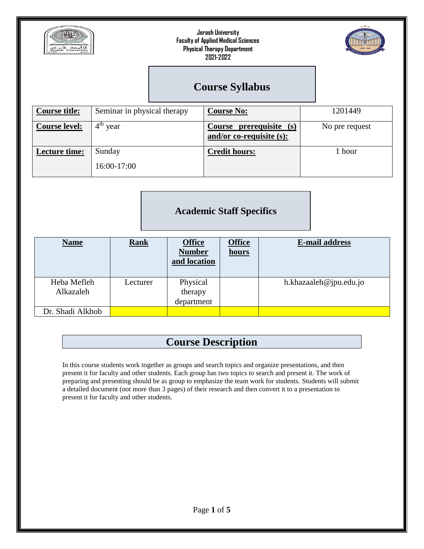



## **Course Syllabus**

| <b>Course title:</b> | Seminar in physical therapy | <b>Course No:</b>                                      | 1201449        |
|----------------------|-----------------------------|--------------------------------------------------------|----------------|
| <b>Course level:</b> | $4th$ year                  | Course prerequisite (s)<br>and/or co-requisite $(s)$ : | No pre request |
| <b>Lecture time:</b> | Sunday<br>16:00-17:00       | <b>Credit hours:</b>                                   | 1 hour         |

### **Academic Staff Specifics**

| <b>Name</b>      | <b>Rank</b> | <b>Office</b><br><b>Number</b><br>and location | <b>Office</b><br>hours | <b>E-mail address</b>  |
|------------------|-------------|------------------------------------------------|------------------------|------------------------|
| Heba Mefleh      | Lecturer    | Physical                                       |                        | h.khazaaleh@jpu.edu.jo |
| Alkazaleh        |             | therapy                                        |                        |                        |
|                  |             | department                                     |                        |                        |
| Dr. Shadi Alkhob |             |                                                |                        |                        |

## **Course Description**

In this course students work together as groups and search topics and organize presentations, and then present it for faculty and other students. Each group has two topics to search and present it. The work of preparing and presenting should be as group to emphasize the team work for students. Students will submit a detailed document (not more than 3 pages) of their research and then convert it to a presentation to present it for faculty and other students.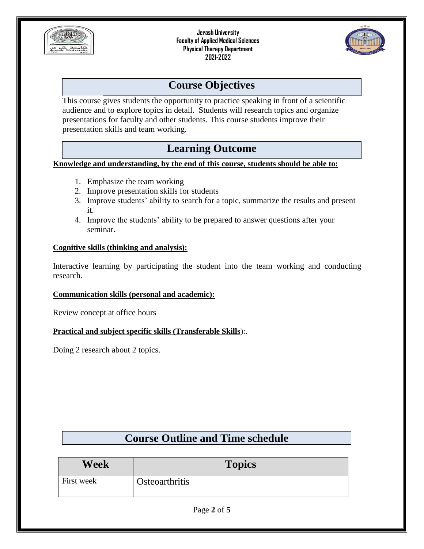



## **Course Objectives**

This course gives students the opportunity to practice speaking in front of a scientific audience and to explore topics in detail. Students will research topics and organize presentations for faculty and other students. This course students improve their presentation skills and team working.

## **Learning Outcome**

**Knowledge and understanding, by the end of this course, students should be able to:**

- 1. Emphasize the team working
- 2. Improve presentation skills for students
- 3. Improve students' ability to search for a topic, summarize the results and present it.
- 4. Improve the students' ability to be prepared to answer questions after your seminar.

#### **Cognitive skills (thinking and analysis):**

Interactive learning by participating the student into the team working and conducting research.

#### **Communication skills (personal and academic):**

Review concept at office hours

**Practical and subject specific skills (Transferable Skills**):.

Doing 2 research about 2 topics.

|  |  | <b>Course Outline and Time schedule</b> |
|--|--|-----------------------------------------|
|  |  |                                         |

| Week       | <b>Topics</b>         |
|------------|-----------------------|
| First week | <b>Osteoarthritis</b> |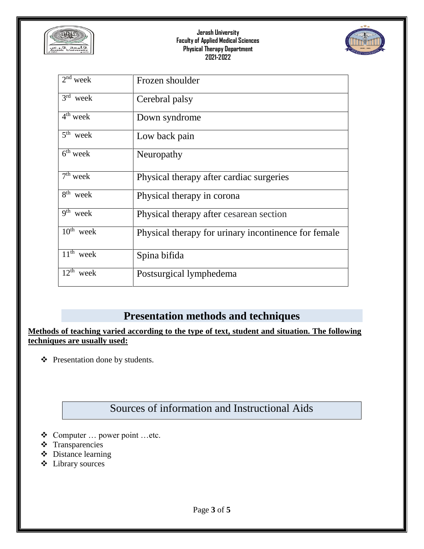



| $2nd$ week                        | Frozen shoulder                                      |
|-----------------------------------|------------------------------------------------------|
| $3rd$ week                        | Cerebral palsy                                       |
| $4th$ week                        | Down syndrome                                        |
| $5th$ week                        | Low back pain                                        |
| $6th$ week                        | Neuropathy                                           |
| $7th$ week                        | Physical therapy after cardiac surgeries             |
| $8th$ week                        | Physical therapy in corona                           |
| $\overline{9}$ <sup>th</sup> week | Physical therapy after cesarean section              |
| $\overline{10^{th}}$ week         | Physical therapy for urinary incontinence for female |
| $\overline{11^{th}}$ week         | Spina bifida                                         |
| $12^{th}$ week                    | Postsurgical lymphedema                              |

### **Presentation methods and techniques**

**Methods of teaching varied according to the type of text, student and situation. The following techniques are usually used:**

Presentation done by students.

# Sources of information and Instructional Aids

- Computer … power point …etc.
- **❖** Transparencies
- Distance learning
- Library sources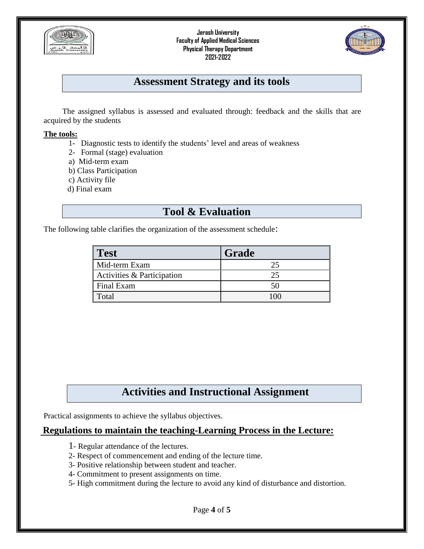



### **Assessment Strategy and its tools**

The assigned syllabus is assessed and evaluated through: feedback and the skills that are acquired by the students

#### **The tools:**

- 1- Diagnostic tests to identify the students' level and areas of weakness
- 2- Formal (stage) evaluation
- a) Mid-term exam
- b) Class Participation
- c) Activity file
- d) Final exam

### **Tool & Evaluation**

The following table clarifies the organization of the assessment schedule:

| Test                       | Grade |
|----------------------------|-------|
| Mid-term Exam              |       |
| Activities & Participation |       |
| Final Exam                 |       |
| Total                      |       |

## **Activities and Instructional Assignment**

Practical assignments to achieve the syllabus objectives.

### **Regulations to maintain the teaching-Learning Process in the Lecture:**

- 1- Regular attendance of the lectures.
- 2- Respect of commencement and ending of the lecture time.
- 3- Positive relationship between student and teacher.
- 4- Commitment to present assignments on time.
- 5- High commitment during the lecture to avoid any kind of disturbance and distortion.